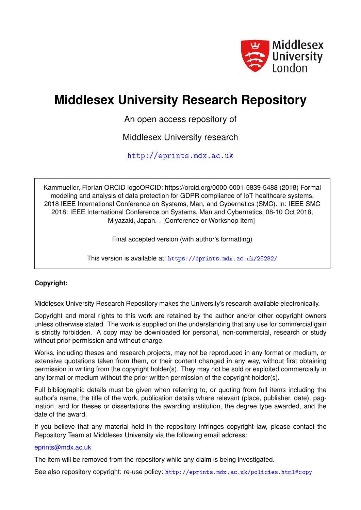

# **Middlesex University Research Repository**

An open access repository of

Middlesex University research

<http://eprints.mdx.ac.uk>

Kammueller, Florian ORCID logoORCID: https://orcid.org/0000-0001-5839-5488 (2018) Formal modeling and analysis of data protection for GDPR compliance of IoT healthcare systems. 2018 IEEE International Conference on Systems, Man, and Cybernetics (SMC). In: IEEE SMC 2018: IEEE International Conference on Systems, Man and Cybernetics, 08-10 Oct 2018, Miyazaki, Japan. . [Conference or Workshop Item]

Final accepted version (with author's formatting)

This version is available at: <https://eprints.mdx.ac.uk/25282/>

# **Copyright:**

Middlesex University Research Repository makes the University's research available electronically.

Copyright and moral rights to this work are retained by the author and/or other copyright owners unless otherwise stated. The work is supplied on the understanding that any use for commercial gain is strictly forbidden. A copy may be downloaded for personal, non-commercial, research or study without prior permission and without charge.

Works, including theses and research projects, may not be reproduced in any format or medium, or extensive quotations taken from them, or their content changed in any way, without first obtaining permission in writing from the copyright holder(s). They may not be sold or exploited commercially in any format or medium without the prior written permission of the copyright holder(s).

Full bibliographic details must be given when referring to, or quoting from full items including the author's name, the title of the work, publication details where relevant (place, publisher, date), pagination, and for theses or dissertations the awarding institution, the degree type awarded, and the date of the award.

If you believe that any material held in the repository infringes copyright law, please contact the Repository Team at Middlesex University via the following email address:

# [eprints@mdx.ac.uk](mailto:eprints@mdx.ac.uk)

The item will be removed from the repository while any claim is being investigated.

See also repository copyright: re-use policy: <http://eprints.mdx.ac.uk/policies.html#copy>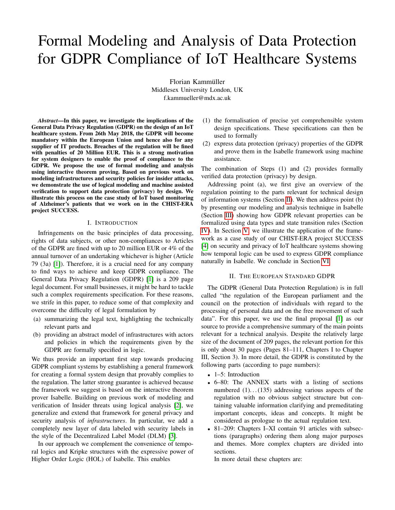# Formal Modeling and Analysis of Data Protection for GDPR Compliance of IoT Healthcare Systems

Florian Kammüller Middlesex University London, UK f.kammueller@mdx.ac.uk

*Abstract*—In this paper, we investigate the implications of the General Data Privacy Regulation (GDPR) on the design of an IoT healthcare system. From 26th May 2018, the GDPR will become mandatory within the European Union and hence also for any supplier of IT products. Breaches of the regulation will be fined with penalties of 20 Million EUR. This is a strong motivation for system designers to enable the proof of compliance to the GDPR. We propose the use of formal modeling and analysis using interactive theorem proving. Based on previous work on modeling infrastructures and security policies for insider attacks, we demonstrate the use of logical modeling and machine assisted verification to support data protection (privacy) by design. We illustrate this process on the case study of IoT based monitoring of Alzheimer's patients that we work on in the CHIST-ERA project SUCCESS.

### I. INTRODUCTION

Infringements on the basic principles of data processing, rights of data subjects, or other non-compliances to Articles of the GDPR are fined with up to 20 million EUR or 4% of the annual turnover of an undertaking whichever is higher (Article 79 (3a) [\[1\]](#page-6-0)). Therefore, it is a crucial need for any company to find ways to achieve and keep GDPR compliance. The General Data Privacy Regulation (GDPR) [\[1\]](#page-6-0) is a 209 page legal document. For small businesses, it might be hard to tackle such a complex requirements specification. For these reasons, we strife in this paper, to reduce some of that complexity and overcome the difficulty of legal formulation by

- (a) summarizing the legal text, highlighting the technically relevant parts and
- (b) providing an abstract model of infrastructures with actors and policies in which the requirements given by the GDPR are formally specified in logic.

We thus provide an important first step towards producing GDPR compliant systems by establishing a general framework for creating a formal system design that provably complies to the regulation. The latter strong guarantee is achieved because the framework we suggest is based on the interactive theorem prover Isabelle. Building on previous work of modeling and verification of Insider threats using logical analysis [\[2\]](#page-6-1), we generalize and extend that framework for general privacy and security analysis of *infrastructures*. In particular, we add a completely new layer of data labeled with security labels in the style of the Decentralized Label Model (DLM) [\[3\]](#page-6-2).

In our approach we complement the convenience of temporal logics and Kripke structures with the expressive power of Higher Order Logic (HOL) of Isabelle. This enables

- (1) the formalisation of precise yet comprehensible system design specifications. These specifications can then be used to formally
- (2) express data protection (privacy) properties of the GDPR and prove them in the Isabelle framework using machine assistance.

The combination of Steps (1) and (2) provides formally verified data protection (privacy) by design.

Addressing point (a), we first give an overview of the regulation pointing to the parts relevant for technical design of information systems (Section [II\)](#page-1-0). We then address point (b) by presenting our modeling and analysis technique in Isabelle (Section [III\)](#page-2-0) showing how GDPR relevant properties can be formalized using data types and state transition rules (Section [IV\)](#page-4-0). In Section [V,](#page-5-0) we illustrate the application of the framework as a case study of our CHIST-ERA project SUCCESS [\[4\]](#page-6-3) on security and privacy of IoT healthcare systems showing how temporal logic can be used to express GDPR compliance naturally in Isabelle. We conclude in Section [VI.](#page-6-4)

## II. THE EUROPEAN STANDARD GDPR

<span id="page-1-0"></span>The GDPR (General Data Protection Regulation) is in full called "the regulation of the European parliament and the council on the protection of individuals with regard to the processing of personal data and on the free movement of such data". For this paper, we use the final proposal [\[1\]](#page-6-0) as our source to provide a comprehensive summary of the main points relevant for a technical analysis. Despite the relatively large size of the document of 209 pages, the relevant portion for this is only about 30 pages (Pages 81–111, Chapters I to Chapter III, Section 3). In more detail, the GDPR is constituted by the following parts (according to page numbers):

- 1–5: Introduction
- 6–80: The ANNEX starts with a listing of sections numbered  $(1)$ ... $(135)$  addressing various aspects of the regulation with no obvious subject structure but containing valuable information clarifying and premeditating important concepts, ideas and concepts. It might be considered as prologue to the actual regulation text.
- 81–209: Chapters I–XI contain 91 articles with subsections (paragraphs) ordering them along major purposes and themes. More complex chapters are divided into sections.

In more detail these chapters are: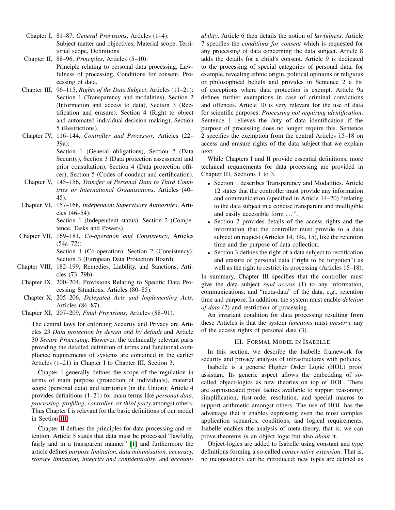- Chapter I, 81–87, *General Provisions*, Articles (1–4): Subject matter and objectives, Material scope, Territorial scope, Definitions.
- Chapter II, 88–96, *Principles*, Articles (5–10): Principle relating to personal data processing, Lawfulness of processing, Conditions for consent, Processing of data.
- Chapter III, 96–115, *Rights of the Data Subject*, Articles (11–21): Section 1 (Transparency and modalities), Section 2 (Information and access to data), Section 3 (Rectification and erasure), Section 4 (Right to object and automated individual decision making), Section 5 (Restrictions).
- Chapter IV, 116–144, *Controller and Processor*, Articles (22– 39a): Section 1 (General obligations), Section 2 (Data

Security), Section 3 (Data protection assessment and prior consultation), Section 4 (Data protection officer), Section 5 (Codes of conduct and certification).

- Chapter V, 145–156, *Transfer of Personal Data to Third Countries or International Organisations*, Articles (40– 45).
- Chapter VI, 157–168, *Independent Supervisory Authorities*, Articles (46–54): Section 1 (Independent status), Section 2 (Competence, Tasks and Powers).
- Chapter VII, 169–181, *Co-operation and Consistency*, Articles (54a–72): Section 1 (Co-operation), Section 2 (Consistency), Section 3 (European Data Protection Board).

Chapter VIII, 182–199, Remedies, Liability, and Sanctions, Articles (73–79b).

- Chapter IX, 200–204, Provisions Relating to Specific Data Processing Situations, Articles (80–85).
- Chapter X, 205–206, *Delegated Acts and Implementing Acts*, Articles (86–87).

Chapter XI, 207–209, *Final Provisions*, Articles (88–91).

The central laws for enforcing Security and Privacy are Articles 23 *Data protection by design and by default* and Article 30 *Secure Processing*. However, the technically relevant parts providing the detailed definition of terms and functional compliance requirements of systems are contained in the earlier Articles (1–21) in Chapter I to Chapter III, Section 3.

Chapter I generally defines the scope of the regulation in terms of main purpose (protection of individuals), material scope (personal data) and territories (in the Union); Article 4 provides definitions (1–21) for main terms like *personal data*, *processing*, *profiling*, *controller*, or *third party* amongst others. Thus Chapter I is relevant for the basic definitions of our model in Section [III.](#page-2-0)

Chapter II defines the principles for data processing and retention. Article 5 states that data must be processed "lawfully, fairly and in a transparent manner" [\[1\]](#page-6-0) and furthermore the article defines *purpose limitation, data minimisation, accuracy, storage limitation, integrity and confidentiality*, and *account-* *ability*. Article 6 then details the notion of *lawfulness*. Article 7 specifies the *conditions for consent* which is requested for any processing of data concerning the data subject. Article 8 adds the details for a child's consent. Article 9 is dedicated to the processing of special categories of personal data, for example, revealing ethnic origin, political opinions or religious or philosophical beliefs and provides in Sentence 2 a list of exceptions where data protection is exempt. Article 9a defines further exemptions in case of criminal convictions and offences. Article 10 is very relevant for the use of data for scientific purposes: *Processing not requiring identification*. Sentence 1 relieves the duty of data identification if the purpose of processing does no longer require this. Sentence 2 specifies the exemption from the central Articles 15–18 on access and erasure rights of the data subject that we explain next.

While Chapters I and II provide essential definitions, more technical requirements for data processing are provided in Chapter III, Sections 1 to 3.

- Section 1 describes Transparency and Modalities. Article 12 states that the controller must provide any information and communication (specified in Article 14–20) "relating to the data subject in a concise transparent and intelligible and easily accessible form ...".
- Section 2 provides details of the access rights and the information that the controller must provide to a data subject on request (Articles 14, 14a, 15), like the retention time and the purpose of data collection.
- Section 3 defines the right of a data subject to rectification and erasure of personal data ("right to be forgotten") as well as the right to restrict its processing (Articles 15–18).

In summary, Chapter III specifies that the controller must give the data subject *read access* (1) to any information, communications, and "meta-data" of the data, e.g., retention time and purpose. In addition, the system must enable *deletion of data* (2) and restriction of processing.

An invariant condition for data processing resulting from these Articles is that the system *functions* must *preserve* any of the access rights of personal data (3).

# III. FORMAL MODEL IN ISABELLE

<span id="page-2-0"></span>In this section, we describe the Isabelle framework for security and privacy analysis of infrastructures with policies.

Isabelle is a generic Higher Order Logic (HOL) proof assistant. Its generic aspect allows the embedding of socalled object-logics as new theories on top of HOL. There are sophisticated proof tactics available to support reasoning: simplification, first-order resolution, and special macros to support arithmetic amongst others. The use of HOL has the advantage that it enables expressing even the most complex application scenarios, conditions, and logical requirements. Isabelle enables the analysis of meta-theory, that is, we can prove theorems *in* an object logic but also *about* it.

Object-logics are added to Isabelle using constant and type definitions forming a so-called *conservative extension*. That is, no inconsistency can be introduced: new types are defined as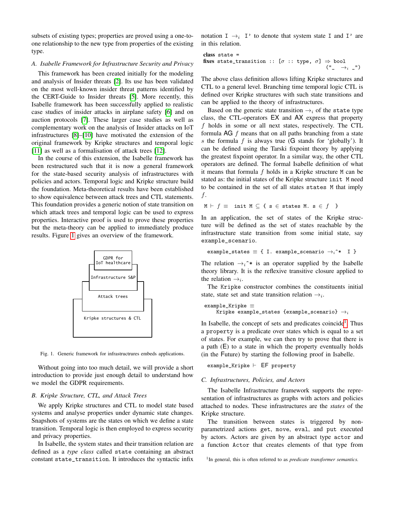subsets of existing types; properties are proved using a one-toone relationship to the new type from properties of the existing type.

### *A. Isabelle Framework for Infrastructure Security and Privacy*

This framework has been created initially for the modeling and analysis of Insider threats [\[2\]](#page-6-1). Its use has been validated on the most well-known insider threat patterns identified by the CERT-Guide to Insider threats [\[5\]](#page-6-5). More recently, this Isabelle framework has been successfully applied to realistic case studies of insider attacks in airplane safety [\[6\]](#page-6-6) and on auction protocols [\[7\]](#page-6-7). These larger case studies as well as complementary work on the analysis of Insider attacks on IoT infrastructures [\[8\]](#page-6-8)–[\[10\]](#page-6-9) have motivated the extension of the original framework by Kripke structures and temporal logic [\[11\]](#page-6-10) as well as a formalisation of attack trees [\[12\]](#page-6-11).

In the course of this extension, the Isabelle framework has been restructured such that it is now a general framework for the state-based security analysis of infrastructures with policies and actors. Temporal logic and Kripke structure build the foundation. Meta-theoretical results have been established to show equivalence between attack trees and CTL statements. This foundation provides a generic notion of state transition on which attack trees and temporal logic can be used to express properties. Interactive proof is used to prove these properties but the meta-theory can be applied to immediately produce results. Figure [1](#page-3-0) gives an overview of the framework.



<span id="page-3-0"></span>Fig. 1. Generic framework for infrastructrures embeds applications.

Without going into too much detail, we will provide a short introduction to provide just enough detail to understand how we model the GDPR requirements.

#### *B. Kripke Structure, CTL, and Attack Trees*

We apply Kripke structures and CTL to model state based systems and analyse properties under dynamic state changes. Snapshots of systems are the states on which we define a state transition. Temporal logic is then employed to express security and privacy properties.

In Isabelle, the system states and their transition relation are defined as a *type class* called state containing an abstract constant state\_transition. It introduces the syntactic infix

notation  $I \rightarrow_i I'$  to denote that system state I and I' are in this relation.

```
class state =
fixes state_transition :: [\sigma : : \text{type}, \sigma] \Rightarrow \text{bool}("\_ \rightarrow_i \_")
```
The above class definition allows lifting Kripke structures and CTL to a general level. Branching time temporal logic CTL is defined over Kripke structures with such state transitions and can be applied to the theory of infrastructures.

Based on the generic state transition  $\rightarrow_i$  of the state type class, the CTL-operators EX and AX express that property f holds in some or all next states, respectively. The CTL formula  $AG$  f means that on all paths branching from a state s the formula f is always true (G stands for 'globally'). It can be defined using the Tarski fixpoint theory by applying the greatest fixpoint operator. In a similar way, the other CTL operators are defined. The formal Isabelle definition of what it means that formula  $f$  holds in a Kripke structure  $M$  can be stated as: the initial states of the Kripke structure init M need to be contained in the set of all states states M that imply f.

$$
M \vdash f \equiv \text{ init } M \subseteq \{ s \in \text{states } M. s \in f \}
$$

In an application, the set of states of the Kripke structure will be defined as the set of states reachable by the infrastructure state transition from some initial state, say example\_scenario.

```
example_states \equiv { I. example_scenario \rightarrow_i<sup>*</sup>* I }
```
The relation  $\rightarrow_i^*$  is an operator supplied by the Isabelle theory library. It is the reflexive transitive closure applied to the relation  $\rightarrow_i$ .

The Kripke constructor combines the constituents initial state, state set and state transition relation  $\rightarrow_i$ .

```
example_Kripke ≡
    Kripke example_states {example_scenario} \rightarrow_i
```
In Isabelle, the concept of sets and predicates coincide<sup>[1](#page-3-1)</sup>. Thus a property is a predicate over states which is equal to a set of states. For example, we can then try to prove that there is a path (E) to a state in which the property eventually holds (in the Future) by starting the following proof in Isabelle.

example\_Kripke  $\vdash$  EF property

#### *C. Infrastructures, Policies, and Actors*

The Isabelle Infrastructure framework supports the representation of infrastructures as graphs with actors and policies attached to nodes. These infrastructures are the *states* of the Kripke structure.

The transition between states is triggered by nonparametrized actions get, move, eval, and put executed by actors. Actors are given by an abstract type actor and a function Actor that creates elements of that type from

<span id="page-3-1"></span><sup>&</sup>lt;sup>1</sup>In general, this is often referred to as *predicate transformer semantics*.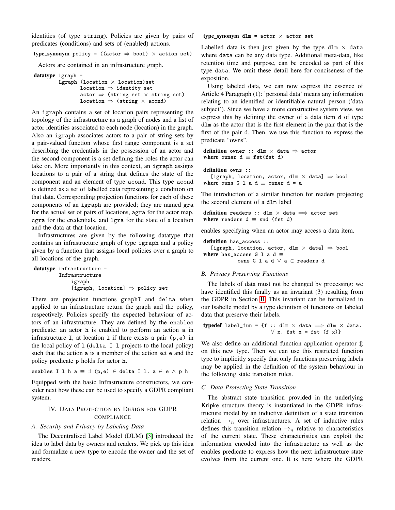identities (of type string). Policies are given by pairs of predicates (conditions) and sets of (enabled) actions.

type\_synonym policy = ((actor  $\Rightarrow$  bool)  $\times$  action set)

Actors are contained in an infrastructure graph.

```
datatype igraph =
          Lgraph (location \times location)set
                   location ⇒ identity set
                   actor \Rightarrow (string set \times string set)
                   location \Rightarrow (string \times acond)
```
An igraph contains a set of location pairs representing the topology of the infrastructure as a graph of nodes and a list of actor identities associated to each node (location) in the graph. Also an igraph associates actors to a pair of string sets by a pair-valued function whose first range component is a set describing the credentials in the possession of an actor and the second component is a set defining the roles the actor can take on. More importantly in this context, an igraph assigns locations to a pair of a string that defines the state of the component and an element of type acond. This type acond is defined as a set of labelled data representing a condition on that data. Corresponding projection functions for each of these components of an igraph are provided; they are named gra for the actual set of pairs of locations, agra for the actor map, cgra for the credentials, and lgra for the state of a location and the data at that location.

Infrastructures are given by the following datatype that contains an infrastructure graph of type igraph and a policy given by a function that assigns local policies over a graph to all locations of the graph.

datatype infrastructure = Infrastructure igraph [igraph, location] ⇒ policy set

There are projection functions graphI and delta when applied to an infrastructure return the graph and the policy, respectively. Policies specify the expected behaviour of actors of an infrastructure. They are defined by the enables predicate: an actor h is enabled to perform an action a in infrastructure I, at location 1 if there exists a pair  $(p,e)$  in the local policy of l (delta I l projects to the local policy) such that the action a is a member of the action set e and the policy predicate p holds for actor h.

enables I l h a  $\equiv \exists$  (p,e)  $\in$  delta I l. a  $\in$  e  $\wedge$  p h

Equipped with the basic Infrastructure constructors, we consider next how these can be used to specify a GDPR compliant system.

# <span id="page-4-0"></span>IV. DATA PROTECTION BY DESIGN FOR GDPR COMPLIANCE

#### <span id="page-4-2"></span>*A. Security and Privacy by Labeling Data*

The Decentralised Label Model (DLM) [\[3\]](#page-6-2) introduced the idea to label data by owners and readers. We pick up this idea and formalize a new type to encode the owner and the set of readers.

type\_synonym dlm = actor  $\times$  actor set

Labelled data is then just given by the type dlm  $\times$  data where data can be any data type. Additional meta-data, like retention time and purpose, can be encoded as part of this type data. We omit these detail here for conciseness of the exposition.

Using labeled data, we can now express the essence of Article 4 Paragraph (1): 'personal data' means any information relating to an identified or identifiable natural person ('data subject'). Since we have a more constructive system view, we express this by defining the owner of a data item d of type dlm as the actor that is the first element in the pair that is the first of the pair d. Then, we use this function to express the predicate "owns".

definition owner :: dlm  $\times$  data  $\Rightarrow$  actor where owner  $d \equiv fst(fst d)$ 

definition owns :: [igraph, location, actor, dlm  $\times$  data]  $\Rightarrow$  bool where owns G l a  $d \equiv$  owner  $d = a$ 

The introduction of a similar function for readers projecting the second element of a dlm label

definition readers :: dlm  $\times$  data  $\implies$  actor set where readers  $d \equiv$  snd (fst d)

enables specifying when an actor may access a data item.

definition has\_access :: [igraph, location, actor, dlm  $\times$  data]  $\Rightarrow$  bool where has\_access G l a d  $\equiv$ owns G l a d ∨ a ∈ readers d

#### <span id="page-4-1"></span>*B. Privacy Preserving Functions*

The labels of data must not be changed by processing: we have identified this finally as an invariant (3) resulting from the GDPR in Section [II.](#page-1-0) This invariant can be formalized in our Isabelle model by a type definition of functions on labeled data that preserve their labels.

typedef label\_fun = {f :: dlm  $\times$  data  $\implies$  dlm  $\times$  data.  $\forall$  x. fst x = fst (f x)}

We also define an additional function application operator  $\hat{\mathbb{I}}$ on this new type. Then we can use this restricted function type to implicitly specify that only functions preserving labels may be applied in the definition of the system behaviour in the following state transition rules.

## *C. Data Protecting State Transition*

The abstract state transition provided in the underlying Kripke structure theory is instantiated in the GDPR infrastructure model by an inductive definition of a state transition relation  $\rightarrow_n$  over infrastructures. A set of inductive rules defines this transition relation  $\rightarrow_n$  relative to characteristics of the current state. These characteristics can exploit the information encoded into the infrastructure as well as the enables predicate to express how the next infrastructure state evolves from the current one. It is here where the GDPR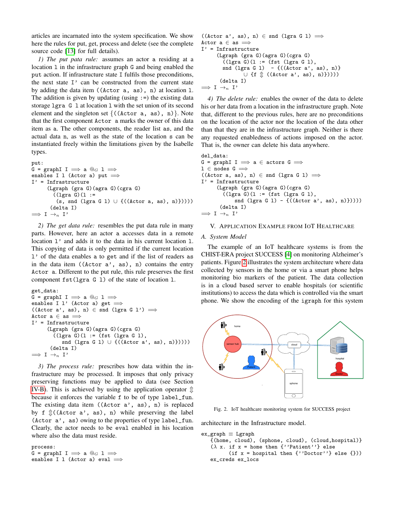articles are incarnated into the system specification. We show here the rules for put, get, process and delete (see the complete source code [\[13\]](#page-6-12) for full details).

*1) The put pata rule:* assumes an actor a residing at a location 1 in the infrastructure graph G and being enabled the put action. If infrastructure state I fulfils those preconditions, the next state I' can be constructed from the current state by adding the data item ((Actor a, as), n) at location l. The addition is given by updating (using  $:=$ ) the existing data storage lgra G l at location l with the set union of its second element and the singleton set  $\{((\text{Actor } a, \text{ as}), n)\}.$  Note that the first component Actor a marks the owner of this data item as a. The other components, the reader list as, and the actual data n, as well as the state of the location s can be instantiated freely within the limitations given by the Isabelle types.

```
put:
G = graphI I \implies a @ I \impliesenables I l (Actor a) put \impliesI' = Infrastructure
      (Lgraph (gra G)(agra G)(cgra G)
        ((\text{lgra } G)(1) :=(s, snd (lgra G l) ∪ {((Actor a, as), n)}))))
       (delta I)
\implies I \rightarrow_n I'
```
*2) The get data rule:* resembles the put data rule in many parts. However, here an actor a accesses data in a remote location 1' and adds it to the data in his current location 1. This copying of data is only permitted if the current location l' of the data enables a to get and if the list of readers as in the data item  $((Action a', as), n)$  contains the entry Actor a. Different to the put rule, this rule preserves the first component fst(lgra G l) of the state of location l.

```
get_data:
G = graphI I \implies a @ I \impliesenables I l' (Actor a) get \implies((Action a', as), n) \in end (lyra G 1') \impliesActor a \in as \impliesI' = Infrastructure
      (Lgraph (gra G)(agra G)(cgra G)
        ((\text{lgra } G)(1 := (fst (\text{lgra } G 1)),snd (lgra G l) \cup {((Actor a', as), n)}))))
       (delta I)
\implies I \rightarrow_n I'
```
*3) The process rule:* prescribes how data within the infrastructure may be processed. It imposes that only privacy preserving functions may be applied to data (see Section [IV-B\)](#page-4-1). This is achieved by using the application operator  $\mathcal{D}$ because it enforces the variable f to be of type label\_fun. The existing data item ((Actor a', as), n) is replaced by f  $\mathcal{D}$  ((Actor a', as), n) while preserving the label (Actor a', as) owing to the properties of type label\_fun. Clearly, the actor needs to be eval enabled in his location where also the data must reside.

```
process:
G = graphI I \implies a @ I \impliesenables I l (Actor a) eval \implies
```

```
((Action a', as), n) \in end (Igra G 1) \impliesActor a \in as \impliesI' = Infrastructure
      (Lgraph (gra G)(agra G)(cgra G)
         ((\text{lgra } G)(1 := (fst (\text{lgra } G 1)),snd (lgra G 1) - {((Actor a', as), n)}\cup {f \mathcal{D} ((Actor a', as), n)}))))
       (delta I)
\implies I \rightarrow_n I'
```
*4) The delete rule:* enables the owner of the data to delete his or her data from a location in the infrastructure graph. Note that, different to the previous rules, here are no preconditions on the location of the actor nor the location of the data other than that they are in the infrastructure graph. Neither is there any requested enabledness of actions imposed on the actor. That is, the owner can delete his data anywhere.

```
del_data:
G = graphI I \implies a \in actors G \implies1 \in nodes G \implies((Actor a, as), n) \in snd (lgra G 1) \impliesI' = Infrastructure
      (Lgraph (gra G)(agra G)(cgra G)
         ((\text{lgra } G)(1 := (fst (\text{lgra } G 1)),snd (lgra G 1) - {((Actor a', as), n)})))(delta I)
\implies I \rightarrow_n I'
```
#### <span id="page-5-0"></span>V. APPLICATION EXAMPLE FROM IOT HEALTHCARE

#### *A. System Model*

The example of an IoT healthcare systems is from the CHIST-ERA project SUCCESS [\[4\]](#page-6-3) on monitoring Alzheimer's patients. Figure [2](#page-5-1) illustrates the system architecture where data collected by sensors in the home or via a smart phone helps monitoring bio markers of the patient. The data collection is in a cloud based server to enable hospitals (or scientific institutions) to access the data which is controlled via the smart phone. We show the encoding of the igraph for this system



<span id="page-5-1"></span>Fig. 2. IoT healthcare monitoring system for SUCCESS project

architecture in the Infrastructure model.

```
ex\_graph \equiv Lgraph{(home, cloud), (sphone, cloud), (cloud,hospital)}
   (\lambda x. if x = home then {''Patient''} else
         (if x = hospital then {''} Doctor''} else {}(}))
   ex_creds ex_locs
```